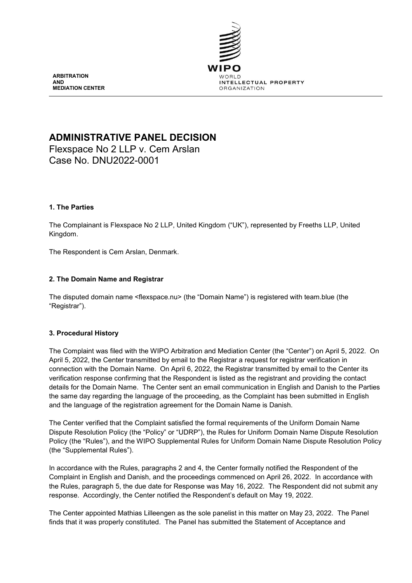

**ARBITRATION AND MEDIATION CENTER**

# **ADMINISTRATIVE PANEL DECISION**

Flexspace No 2 LLP v. Cem Arslan Case No. DNU2022-0001

# **1. The Parties**

The Complainant is Flexspace No 2 LLP, United Kingdom ("UK"), represented by Freeths LLP, United Kingdom.

The Respondent is Cem Arslan, Denmark.

# **2. The Domain Name and Registrar**

The disputed domain name <flexspace.nu> (the "Domain Name") is registered with team.blue (the "Registrar").

## **3. Procedural History**

The Complaint was filed with the WIPO Arbitration and Mediation Center (the "Center") on April 5, 2022. On April 5, 2022, the Center transmitted by email to the Registrar a request for registrar verification in connection with the Domain Name. On April 6, 2022, the Registrar transmitted by email to the Center its verification response confirming that the Respondent is listed as the registrant and providing the contact details for the Domain Name. The Center sent an email communication in English and Danish to the Parties the same day regarding the language of the proceeding, as the Complaint has been submitted in English and the language of the registration agreement for the Domain Name is Danish.

The Center verified that the Complaint satisfied the formal requirements of the Uniform Domain Name Dispute Resolution Policy (the "Policy" or "UDRP"), the Rules for Uniform Domain Name Dispute Resolution Policy (the "Rules"), and the WIPO Supplemental Rules for Uniform Domain Name Dispute Resolution Policy (the "Supplemental Rules").

In accordance with the Rules, paragraphs 2 and 4, the Center formally notified the Respondent of the Complaint in English and Danish, and the proceedings commenced on April 26, 2022. In accordance with the Rules, paragraph 5, the due date for Response was May 16, 2022. The Respondent did not submit any response. Accordingly, the Center notified the Respondent's default on May 19, 2022.

The Center appointed Mathias Lilleengen as the sole panelist in this matter on May 23, 2022. The Panel finds that it was properly constituted. The Panel has submitted the Statement of Acceptance and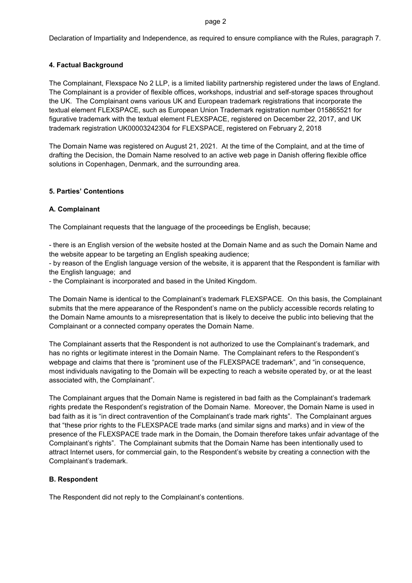#### page 2

Declaration of Impartiality and Independence, as required to ensure compliance with the Rules, paragraph 7.

# **4. Factual Background**

The Complainant, Flexspace No 2 LLP, is a limited liability partnership registered under the laws of England. The Complainant is a provider of flexible offices, workshops, industrial and self-storage spaces throughout the UK. The Complainant owns various UK and European trademark registrations that incorporate the textual element FLEXSPACE, such as European Union Trademark registration number 015865521 for figurative trademark with the textual element FLEXSPACE, registered on December 22, 2017, and UK trademark registration UK00003242304 for FLEXSPACE, registered on February 2, 2018

The Domain Name was registered on August 21, 2021. At the time of the Complaint, and at the time of drafting the Decision, the Domain Name resolved to an active web page in Danish offering flexible office solutions in Copenhagen, Denmark, and the surrounding area.

## **5. Parties' Contentions**

# **A. Complainant**

The Complainant requests that the language of the proceedings be English, because;

- there is an English version of the website hosted at the Domain Name and as such the Domain Name and the website appear to be targeting an English speaking audience;

- by reason of the English language version of the website, it is apparent that the Respondent is familiar with the English language; and

- the Complainant is incorporated and based in the United Kingdom.

The Domain Name is identical to the Complainant's trademark FLEXSPACE. On this basis, the Complainant submits that the mere appearance of the Respondent's name on the publicly accessible records relating to the Domain Name amounts to a misrepresentation that is likely to deceive the public into believing that the Complainant or a connected company operates the Domain Name.

The Complainant asserts that the Respondent is not authorized to use the Complainant's trademark, and has no rights or legitimate interest in the Domain Name. The Complainant refers to the Respondent's webpage and claims that there is "prominent use of the FLEXSPACE trademark", and "in consequence, most individuals navigating to the Domain will be expecting to reach a website operated by, or at the least associated with, the Complainant".

The Complainant argues that the Domain Name is registered in bad faith as the Complainant's trademark rights predate the Respondent's registration of the Domain Name. Moreover, the Domain Name is used in bad faith as it is "in direct contravention of the Complainant's trade mark rights". The Complainant argues that "these prior rights to the FLEXSPACE trade marks (and similar signs and marks) and in view of the presence of the FLEXSPACE trade mark in the Domain, the Domain therefore takes unfair advantage of the Complainant's rights". The Complainant submits that the Domain Name has been intentionally used to attract Internet users, for commercial gain, to the Respondent's website by creating a connection with the Complainant's trademark.

# **B. Respondent**

The Respondent did not reply to the Complainant's contentions.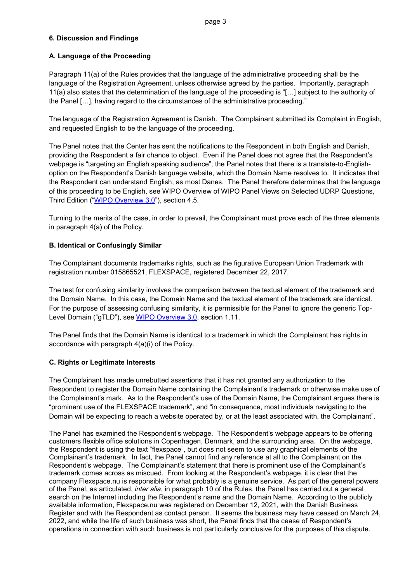# **6. Discussion and Findings**

# **A. Language of the Proceeding**

Paragraph 11(a) of the Rules provides that the language of the administrative proceeding shall be the language of the Registration Agreement, unless otherwise agreed by the parties. Importantly, paragraph 11(a) also states that the determination of the language of the proceeding is "[…] subject to the authority of the Panel […], having regard to the circumstances of the administrative proceeding."

The language of the Registration Agreement is Danish. The Complainant submitted its Complaint in English, and requested English to be the language of the proceeding.

The Panel notes that the Center has sent the notifications to the Respondent in both English and Danish, providing the Respondent a fair chance to object. Even if the Panel does not agree that the Respondent's webpage is "targeting an English speaking audience", the Panel notes that there is a translate-to-Englishoption on the Respondent's Danish language website, which the Domain Name resolves to. It indicates that the Respondent can understand English, as most Danes. The Panel therefore determines that the language of this proceeding to be English, see WIPO Overview of WIPO Panel Views on Selected UDRP Questions, Third Edition (["WIPO Overview 3.0"](https://www.wipo.int/amc/en/domains/search/overview3.0/)), section 4.5.

Turning to the merits of the case, in order to prevail, the Complainant must prove each of the three elements in paragraph 4(a) of the Policy.

# **B. Identical or Confusingly Similar**

The Complainant documents trademarks rights, such as the figurative European Union Trademark with registration number 015865521, FLEXSPACE, registered December 22, 2017.

The test for confusing similarity involves the comparison between the textual element of the trademark and the Domain Name. In this case, the Domain Name and the textual element of the trademark are identical. For the purpose of assessing confusing similarity, it is permissible for the Panel to ignore the generic Top-Level Domain ("gTLD"), see [WIPO Overview 3.0,](https://www.wipo.int/amc/en/domains/search/overview3.0/) section 1.11.

The Panel finds that the Domain Name is identical to a trademark in which the Complainant has rights in accordance with paragraph 4(a)(i) of the Policy.

## **C. Rights or Legitimate Interests**

The Complainant has made unrebutted assertions that it has not granted any authorization to the Respondent to register the Domain Name containing the Complainant's trademark or otherwise make use of the Complainant's mark. As to the Respondent's use of the Domain Name, the Complainant argues there is "prominent use of the FLEXSPACE trademark", and "in consequence, most individuals navigating to the Domain will be expecting to reach a website operated by, or at the least associated with, the Complainant".

The Panel has examined the Respondent's webpage. The Respondent's webpage appears to be offering customers flexible office solutions in Copenhagen, Denmark, and the surrounding area. On the webpage, the Respondent is using the text "flexspace", but does not seem to use any graphical elements of the Complainant's trademark. In fact, the Panel cannot find any reference at all to the Complainant on the Respondent's webpage. The Complainant's statement that there is prominent use of the Complainant's trademark comes across as miscued. From looking at the Respondent's webpage, it is clear that the company Flexspace.nu is responsible for what probably is a genuine service. As part of the general powers of the Panel, as articulated, *inter alia*, in paragraph 10 of the Rules, the Panel has carried out a general search on the Internet including the Respondent's name and the Domain Name. According to the publicly available information, Flexspace.nu was registered on December 12, 2021, with the Danish Business Register and with the Respondent as contact person. It seems the business may have ceased on March 24, 2022, and while the life of such business was short, the Panel finds that the cease of Respondent's operations in connection with such business is not particularly conclusive for the purposes of this dispute.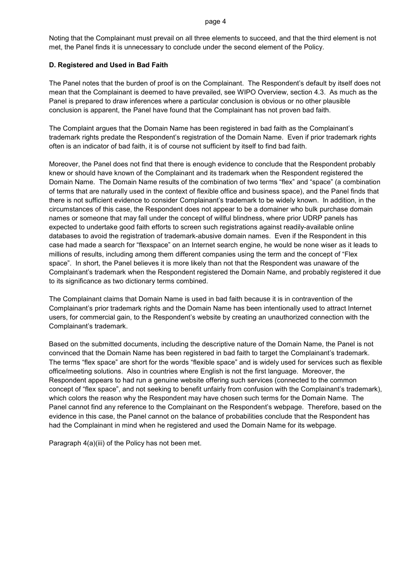#### page 4

Noting that the Complainant must prevail on all three elements to succeed, and that the third element is not met, the Panel finds it is unnecessary to conclude under the second element of the Policy.

## **D. Registered and Used in Bad Faith**

The Panel notes that the burden of proof is on the Complainant. The Respondent's default by itself does not mean that the Complainant is deemed to have prevailed, see WIPO Overview, section 4.3. As much as the Panel is prepared to draw inferences where a particular conclusion is obvious or no other plausible conclusion is apparent, the Panel have found that the Complainant has not proven bad faith.

The Complaint argues that the Domain Name has been registered in bad faith as the Complainant's trademark rights predate the Respondent's registration of the Domain Name. Even if prior trademark rights often is an indicator of bad faith, it is of course not sufficient by itself to find bad faith.

Moreover, the Panel does not find that there is enough evidence to conclude that the Respondent probably knew or should have known of the Complainant and its trademark when the Respondent registered the Domain Name. The Domain Name results of the combination of two terms "flex" and "space" (a combination of terms that are naturally used in the context of flexible office and business space), and the Panel finds that there is not sufficient evidence to consider Complainant's trademark to be widely known. In addition, in the circumstances of this case, the Respondent does not appear to be a domainer who bulk purchase domain names or someone that may fall under the concept of willful blindness, where prior UDRP panels has expected to undertake good faith efforts to screen such registrations against readily-available online databases to avoid the registration of trademark-abusive domain names. Even if the Respondent in this case had made a search for "flexspace" on an Internet search engine, he would be none wiser as it leads to millions of results, including among them different companies using the term and the concept of "Flex space". In short, the Panel believes it is more likely than not that the Respondent was unaware of the Complainant's trademark when the Respondent registered the Domain Name, and probably registered it due to its significance as two dictionary terms combined.

The Complainant claims that Domain Name is used in bad faith because it is in contravention of the Complainant's prior trademark rights and the Domain Name has been intentionally used to attract Internet users, for commercial gain, to the Respondent's website by creating an unauthorized connection with the Complainant's trademark.

Based on the submitted documents, including the descriptive nature of the Domain Name, the Panel is not convinced that the Domain Name has been registered in bad faith to target the Complainant's trademark. The terms "flex space" are short for the words "flexible space" and is widely used for services such as flexible office/meeting solutions. Also in countries where English is not the first language. Moreover, the Respondent appears to had run a genuine website offering such services (connected to the common concept of "flex space", and not seeking to benefit unfairly from confusion with the Complainant's trademark), which colors the reason why the Respondent may have chosen such terms for the Domain Name. The Panel cannot find any reference to the Complainant on the Respondent's webpage. Therefore, based on the evidence in this case, the Panel cannot on the balance of probabilities conclude that the Respondent has had the Complainant in mind when he registered and used the Domain Name for its webpage.

Paragraph 4(a)(iii) of the Policy has not been met.